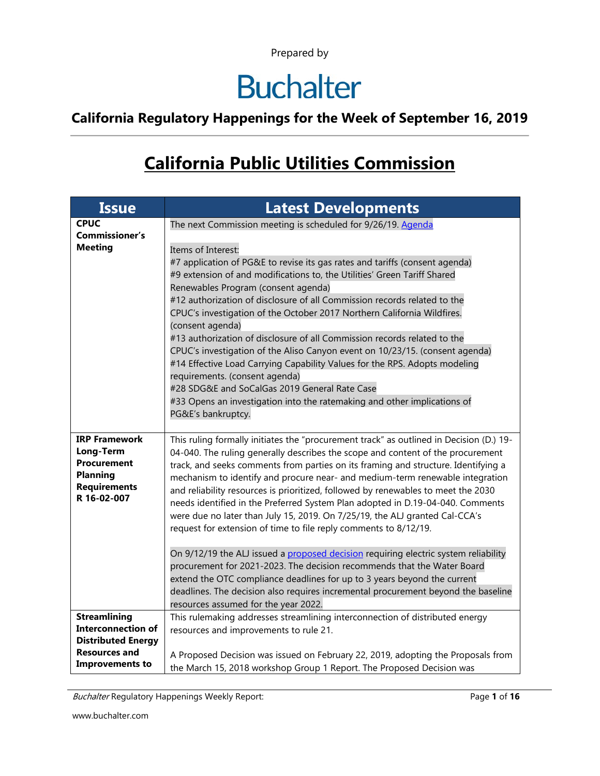## **Buchalter**

**California Regulatory Happenings for the Week of September 16, 2019**

### **California Public Utilities Commission**

| <b>Issue</b>                            | <b>Latest Developments</b>                                                                                                                                          |
|-----------------------------------------|---------------------------------------------------------------------------------------------------------------------------------------------------------------------|
| <b>CPUC</b>                             | The next Commission meeting is scheduled for 9/26/19. Agenda                                                                                                        |
| <b>Commissioner's</b><br><b>Meeting</b> |                                                                                                                                                                     |
|                                         | Items of Interest:<br>#7 application of PG&E to revise its gas rates and tariffs (consent agenda)                                                                   |
|                                         | #9 extension of and modifications to, the Utilities' Green Tariff Shared                                                                                            |
|                                         | Renewables Program (consent agenda)                                                                                                                                 |
|                                         | #12 authorization of disclosure of all Commission records related to the                                                                                            |
|                                         | CPUC's investigation of the October 2017 Northern California Wildfires.                                                                                             |
|                                         | (consent agenda)<br>#13 authorization of disclosure of all Commission records related to the                                                                        |
|                                         | CPUC's investigation of the Aliso Canyon event on 10/23/15. (consent agenda)                                                                                        |
|                                         | #14 Effective Load Carrying Capability Values for the RPS. Adopts modeling                                                                                          |
|                                         | requirements. (consent agenda)                                                                                                                                      |
|                                         | #28 SDG&E and SoCalGas 2019 General Rate Case                                                                                                                       |
|                                         | #33 Opens an investigation into the ratemaking and other implications of<br>PG&E's bankruptcy.                                                                      |
|                                         |                                                                                                                                                                     |
| <b>IRP Framework</b>                    | This ruling formally initiates the "procurement track" as outlined in Decision (D.) 19-                                                                             |
| Long-Term<br><b>Procurement</b>         | 04-040. The ruling generally describes the scope and content of the procurement                                                                                     |
| <b>Planning</b>                         | track, and seeks comments from parties on its framing and structure. Identifying a<br>mechanism to identify and procure near- and medium-term renewable integration |
| <b>Requirements</b>                     | and reliability resources is prioritized, followed by renewables to meet the 2030                                                                                   |
| R 16-02-007                             | needs identified in the Preferred System Plan adopted in D.19-04-040. Comments                                                                                      |
|                                         | were due no later than July 15, 2019. On 7/25/19, the ALJ granted Cal-CCA's                                                                                         |
|                                         | request for extension of time to file reply comments to 8/12/19.                                                                                                    |
|                                         | On 9/12/19 the ALJ issued a proposed decision requiring electric system reliability                                                                                 |
|                                         | procurement for 2021-2023. The decision recommends that the Water Board                                                                                             |
|                                         | extend the OTC compliance deadlines for up to 3 years beyond the current                                                                                            |
|                                         | deadlines. The decision also requires incremental procurement beyond the baseline                                                                                   |
| <b>Streamlining</b>                     | resources assumed for the year 2022.                                                                                                                                |
| <b>Interconnection of</b>               | This rulemaking addresses streamlining interconnection of distributed energy<br>resources and improvements to rule 21.                                              |
| <b>Distributed Energy</b>               |                                                                                                                                                                     |
| <b>Resources and</b>                    | A Proposed Decision was issued on February 22, 2019, adopting the Proposals from                                                                                    |
| <b>Improvements to</b>                  | the March 15, 2018 workshop Group 1 Report. The Proposed Decision was                                                                                               |

Buchalter Regulatory Happenings Weekly Report: Page 1 of 16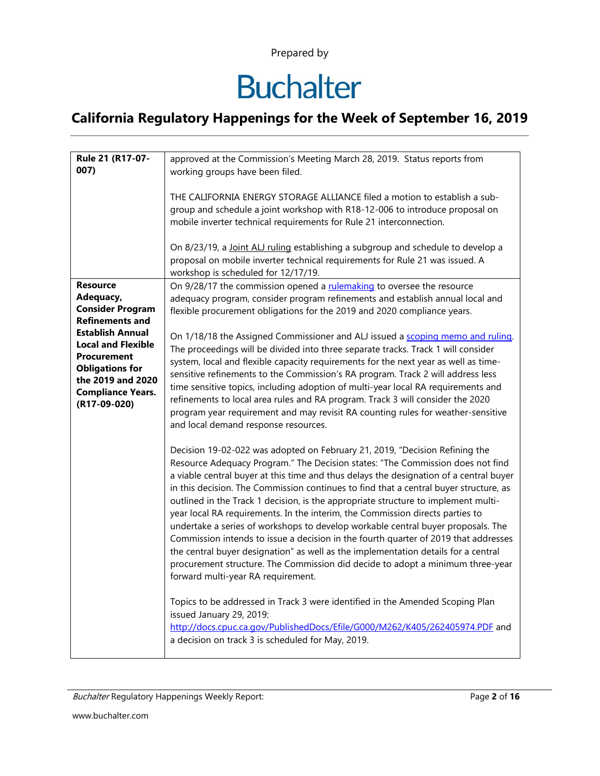# **Buchalter**

| Rule 21 (R17-07-<br>007)                                                                                                                                              | approved at the Commission's Meeting March 28, 2019. Status reports from<br>working groups have been filed.<br>THE CALIFORNIA ENERGY STORAGE ALLIANCE filed a motion to establish a sub-<br>group and schedule a joint workshop with R18-12-006 to introduce proposal on<br>mobile inverter technical requirements for Rule 21 interconnection.<br>On 8/23/19, a Joint ALJ ruling establishing a subgroup and schedule to develop a<br>proposal on mobile inverter technical requirements for Rule 21 was issued. A<br>workshop is scheduled for 12/17/19.                                                                                                                                                                                                                                                                                                                                                                                                                                                                    |
|-----------------------------------------------------------------------------------------------------------------------------------------------------------------------|-------------------------------------------------------------------------------------------------------------------------------------------------------------------------------------------------------------------------------------------------------------------------------------------------------------------------------------------------------------------------------------------------------------------------------------------------------------------------------------------------------------------------------------------------------------------------------------------------------------------------------------------------------------------------------------------------------------------------------------------------------------------------------------------------------------------------------------------------------------------------------------------------------------------------------------------------------------------------------------------------------------------------------|
|                                                                                                                                                                       |                                                                                                                                                                                                                                                                                                                                                                                                                                                                                                                                                                                                                                                                                                                                                                                                                                                                                                                                                                                                                               |
| <b>Resource</b><br>Adequacy,<br><b>Consider Program</b><br><b>Refinements and</b>                                                                                     | On 9/28/17 the commission opened a rulemaking to oversee the resource<br>adequacy program, consider program refinements and establish annual local and<br>flexible procurement obligations for the 2019 and 2020 compliance years.                                                                                                                                                                                                                                                                                                                                                                                                                                                                                                                                                                                                                                                                                                                                                                                            |
| <b>Establish Annual</b><br><b>Local and Flexible</b><br><b>Procurement</b><br><b>Obligations for</b><br>the 2019 and 2020<br><b>Compliance Years.</b><br>(R17-09-020) | On 1/18/18 the Assigned Commissioner and ALJ issued a scoping memo and ruling.<br>The proceedings will be divided into three separate tracks. Track 1 will consider<br>system, local and flexible capacity requirements for the next year as well as time-<br>sensitive refinements to the Commission's RA program. Track 2 will address less<br>time sensitive topics, including adoption of multi-year local RA requirements and<br>refinements to local area rules and RA program. Track 3 will consider the 2020<br>program year requirement and may revisit RA counting rules for weather-sensitive<br>and local demand response resources.                                                                                                                                                                                                                                                                                                                                                                              |
|                                                                                                                                                                       | Decision 19-02-022 was adopted on February 21, 2019, "Decision Refining the<br>Resource Adequacy Program." The Decision states: "The Commission does not find<br>a viable central buyer at this time and thus delays the designation of a central buyer<br>in this decision. The Commission continues to find that a central buyer structure, as<br>outlined in the Track 1 decision, is the appropriate structure to implement multi-<br>year local RA requirements. In the interim, the Commission directs parties to<br>undertake a series of workshops to develop workable central buyer proposals. The<br>Commission intends to issue a decision in the fourth quarter of 2019 that addresses<br>the central buyer designation" as well as the implementation details for a central<br>procurement structure. The Commission did decide to adopt a minimum three-year<br>forward multi-year RA requirement.<br>Topics to be addressed in Track 3 were identified in the Amended Scoping Plan<br>issued January 29, 2019: |
|                                                                                                                                                                       | http://docs.cpuc.ca.gov/PublishedDocs/Efile/G000/M262/K405/262405974.PDF and<br>a decision on track 3 is scheduled for May, 2019.                                                                                                                                                                                                                                                                                                                                                                                                                                                                                                                                                                                                                                                                                                                                                                                                                                                                                             |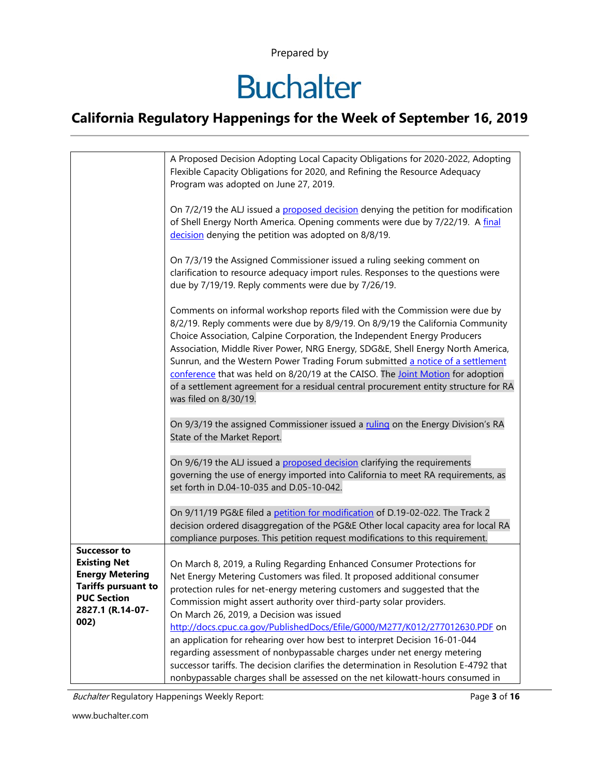# **Buchalter**

### **California Regulatory Happenings for the Week of September 16, 2019**

|                                                                                                                                                      | A Proposed Decision Adopting Local Capacity Obligations for 2020-2022, Adopting<br>Flexible Capacity Obligations for 2020, and Refining the Resource Adequacy<br>Program was adopted on June 27, 2019.                                                                                                                                                                                                                                                                                                                                                                                                             |
|------------------------------------------------------------------------------------------------------------------------------------------------------|--------------------------------------------------------------------------------------------------------------------------------------------------------------------------------------------------------------------------------------------------------------------------------------------------------------------------------------------------------------------------------------------------------------------------------------------------------------------------------------------------------------------------------------------------------------------------------------------------------------------|
|                                                                                                                                                      | On 7/2/19 the ALJ issued a proposed decision denying the petition for modification<br>of Shell Energy North America. Opening comments were due by 7/22/19. A final<br>decision denying the petition was adopted on 8/8/19.                                                                                                                                                                                                                                                                                                                                                                                         |
|                                                                                                                                                      | On 7/3/19 the Assigned Commissioner issued a ruling seeking comment on<br>clarification to resource adequacy import rules. Responses to the questions were<br>due by 7/19/19. Reply comments were due by 7/26/19.                                                                                                                                                                                                                                                                                                                                                                                                  |
|                                                                                                                                                      | Comments on informal workshop reports filed with the Commission were due by<br>8/2/19. Reply comments were due by 8/9/19. On 8/9/19 the California Community<br>Choice Association, Calpine Corporation, the Independent Energy Producers<br>Association, Middle River Power, NRG Energy, SDG&E, Shell Energy North America,<br>Sunrun, and the Western Power Trading Forum submitted a notice of a settlement<br>conference that was held on 8/20/19 at the CAISO. The Joint Motion for adoption<br>of a settlement agreement for a residual central procurement entity structure for RA<br>was filed on 8/30/19. |
|                                                                                                                                                      | On 9/3/19 the assigned Commissioner issued a ruling on the Energy Division's RA<br>State of the Market Report.                                                                                                                                                                                                                                                                                                                                                                                                                                                                                                     |
|                                                                                                                                                      | On 9/6/19 the ALJ issued a proposed decision clarifying the requirements<br>governing the use of energy imported into California to meet RA requirements, as<br>set forth in D.04-10-035 and D.05-10-042.                                                                                                                                                                                                                                                                                                                                                                                                          |
|                                                                                                                                                      | On 9/11/19 PG&E filed a petition for modification of D.19-02-022. The Track 2<br>decision ordered disaggregation of the PG&E Other local capacity area for local RA<br>compliance purposes. This petition request modifications to this requirement.                                                                                                                                                                                                                                                                                                                                                               |
| <b>Successor to</b><br><b>Existing Net</b><br><b>Energy Metering</b><br><b>Tariffs pursuant to</b><br><b>PUC Section</b><br>2827.1 (R.14-07-<br>002) | On March 8, 2019, a Ruling Regarding Enhanced Consumer Protections for<br>Net Energy Metering Customers was filed. It proposed additional consumer<br>protection rules for net-energy metering customers and suggested that the<br>Commission might assert authority over third-party solar providers.<br>On March 26, 2019, a Decision was issued<br>http://docs.cpuc.ca.gov/PublishedDocs/Efile/G000/M277/K012/277012630.PDF on<br>an application for rehearing over how best to interpret Decision 16-01-044                                                                                                    |
|                                                                                                                                                      | regarding assessment of nonbypassable charges under net energy metering<br>successor tariffs. The decision clarifies the determination in Resolution E-4792 that<br>nonbypassable charges shall be assessed on the net kilowatt-hours consumed in                                                                                                                                                                                                                                                                                                                                                                  |

Buchalter Regulatory Happenings Weekly Report: Page 3 of **16**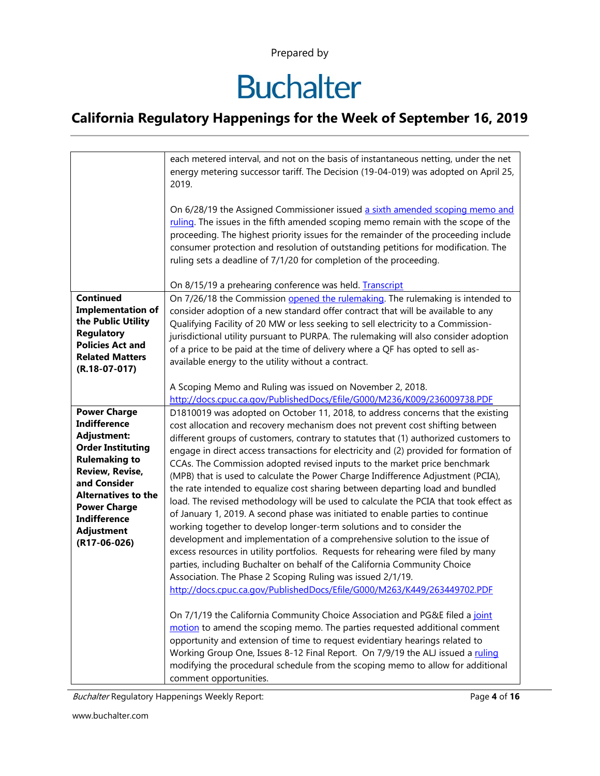# **Buchalter**

### **California Regulatory Happenings for the Week of September 16, 2019**

|                                                  | each metered interval, and not on the basis of instantaneous netting, under the net<br>energy metering successor tariff. The Decision (19-04-019) was adopted on April 25,<br>2019.                                                                                                                                                                                                                                 |
|--------------------------------------------------|---------------------------------------------------------------------------------------------------------------------------------------------------------------------------------------------------------------------------------------------------------------------------------------------------------------------------------------------------------------------------------------------------------------------|
|                                                  | On 6/28/19 the Assigned Commissioner issued a sixth amended scoping memo and<br>ruling. The issues in the fifth amended scoping memo remain with the scope of the<br>proceeding. The highest priority issues for the remainder of the proceeding include<br>consumer protection and resolution of outstanding petitions for modification. The<br>ruling sets a deadline of 7/1/20 for completion of the proceeding. |
|                                                  | On 8/15/19 a prehearing conference was held. Transcript                                                                                                                                                                                                                                                                                                                                                             |
| <b>Continued</b>                                 | On 7/26/18 the Commission opened the rulemaking. The rulemaking is intended to                                                                                                                                                                                                                                                                                                                                      |
| <b>Implementation of</b>                         | consider adoption of a new standard offer contract that will be available to any                                                                                                                                                                                                                                                                                                                                    |
| the Public Utility                               | Qualifying Facility of 20 MW or less seeking to sell electricity to a Commission-                                                                                                                                                                                                                                                                                                                                   |
| <b>Regulatory</b>                                | jurisdictional utility pursuant to PURPA. The rulemaking will also consider adoption                                                                                                                                                                                                                                                                                                                                |
| <b>Policies Act and</b>                          | of a price to be paid at the time of delivery where a QF has opted to sell as-                                                                                                                                                                                                                                                                                                                                      |
| <b>Related Matters</b>                           | available energy to the utility without a contract.                                                                                                                                                                                                                                                                                                                                                                 |
| $(R.18-07-017)$                                  |                                                                                                                                                                                                                                                                                                                                                                                                                     |
|                                                  | A Scoping Memo and Ruling was issued on November 2, 2018.                                                                                                                                                                                                                                                                                                                                                           |
|                                                  | http://docs.cpuc.ca.gov/PublishedDocs/Efile/G000/M236/K009/236009738.PDF                                                                                                                                                                                                                                                                                                                                            |
| <b>Power Charge</b>                              | D1810019 was adopted on October 11, 2018, to address concerns that the existing                                                                                                                                                                                                                                                                                                                                     |
| <b>Indifference</b>                              | cost allocation and recovery mechanism does not prevent cost shifting between                                                                                                                                                                                                                                                                                                                                       |
| <b>Adjustment:</b>                               | different groups of customers, contrary to statutes that (1) authorized customers to                                                                                                                                                                                                                                                                                                                                |
| <b>Order Instituting</b><br><b>Rulemaking to</b> | engage in direct access transactions for electricity and (2) provided for formation of                                                                                                                                                                                                                                                                                                                              |
| Review, Revise,                                  | CCAs. The Commission adopted revised inputs to the market price benchmark                                                                                                                                                                                                                                                                                                                                           |
| and Consider                                     | (MPB) that is used to calculate the Power Charge Indifference Adjustment (PCIA),                                                                                                                                                                                                                                                                                                                                    |
| <b>Alternatives to the</b>                       | the rate intended to equalize cost sharing between departing load and bundled                                                                                                                                                                                                                                                                                                                                       |
| <b>Power Charge</b>                              | load. The revised methodology will be used to calculate the PCIA that took effect as                                                                                                                                                                                                                                                                                                                                |
| <b>Indifference</b>                              | of January 1, 2019. A second phase was initiated to enable parties to continue                                                                                                                                                                                                                                                                                                                                      |
| <b>Adjustment</b>                                | working together to develop longer-term solutions and to consider the                                                                                                                                                                                                                                                                                                                                               |
| (R17-06-026)                                     | development and implementation of a comprehensive solution to the issue of                                                                                                                                                                                                                                                                                                                                          |
|                                                  | excess resources in utility portfolios. Requests for rehearing were filed by many                                                                                                                                                                                                                                                                                                                                   |
|                                                  | parties, including Buchalter on behalf of the California Community Choice                                                                                                                                                                                                                                                                                                                                           |
|                                                  | Association. The Phase 2 Scoping Ruling was issued 2/1/19.<br>http://docs.cpuc.ca.gov/PublishedDocs/Efile/G000/M263/K449/263449702.PDF                                                                                                                                                                                                                                                                              |
|                                                  |                                                                                                                                                                                                                                                                                                                                                                                                                     |
|                                                  | On 7/1/19 the California Community Choice Association and PG&E filed a joint                                                                                                                                                                                                                                                                                                                                        |
|                                                  | motion to amend the scoping memo. The parties requested additional comment                                                                                                                                                                                                                                                                                                                                          |
|                                                  | opportunity and extension of time to request evidentiary hearings related to                                                                                                                                                                                                                                                                                                                                        |
|                                                  | Working Group One, Issues 8-12 Final Report. On 7/9/19 the ALJ issued a ruling                                                                                                                                                                                                                                                                                                                                      |
|                                                  | modifying the procedural schedule from the scoping memo to allow for additional                                                                                                                                                                                                                                                                                                                                     |
|                                                  | comment opportunities.                                                                                                                                                                                                                                                                                                                                                                                              |

Buchalter Regulatory Happenings Weekly Report: Page 4 of **16** Page 4 of **16**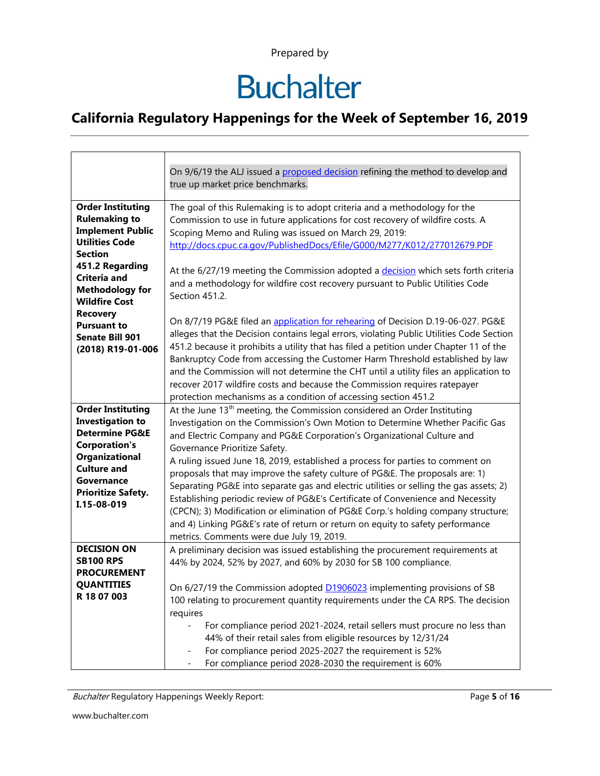# **Buchalter**

|                                                                                                                                                                                                            | On 9/6/19 the ALJ issued a proposed decision refining the method to develop and                                                                                                                                                                                                                                                                                                                                                                                                                                                                                                                                                                                                                                                                                                                                                                     |
|------------------------------------------------------------------------------------------------------------------------------------------------------------------------------------------------------------|-----------------------------------------------------------------------------------------------------------------------------------------------------------------------------------------------------------------------------------------------------------------------------------------------------------------------------------------------------------------------------------------------------------------------------------------------------------------------------------------------------------------------------------------------------------------------------------------------------------------------------------------------------------------------------------------------------------------------------------------------------------------------------------------------------------------------------------------------------|
|                                                                                                                                                                                                            | true up market price benchmarks.                                                                                                                                                                                                                                                                                                                                                                                                                                                                                                                                                                                                                                                                                                                                                                                                                    |
| <b>Order Instituting</b><br><b>Rulemaking to</b><br><b>Implement Public</b><br><b>Utilities Code</b><br><b>Section</b>                                                                                     | The goal of this Rulemaking is to adopt criteria and a methodology for the<br>Commission to use in future applications for cost recovery of wildfire costs. A<br>Scoping Memo and Ruling was issued on March 29, 2019:<br>http://docs.cpuc.ca.gov/PublishedDocs/Efile/G000/M277/K012/277012679.PDF                                                                                                                                                                                                                                                                                                                                                                                                                                                                                                                                                  |
| 451.2 Regarding<br>Criteria and<br><b>Methodology for</b><br><b>Wildfire Cost</b>                                                                                                                          | At the 6/27/19 meeting the Commission adopted a decision which sets forth criteria<br>and a methodology for wildfire cost recovery pursuant to Public Utilities Code<br>Section 451.2.                                                                                                                                                                                                                                                                                                                                                                                                                                                                                                                                                                                                                                                              |
| <b>Recovery</b><br><b>Pursuant to</b><br><b>Senate Bill 901</b><br>(2018) R19-01-006                                                                                                                       | On 8/7/19 PG&E filed an application for rehearing of Decision D.19-06-027. PG&E<br>alleges that the Decision contains legal errors, violating Public Utilities Code Section<br>451.2 because it prohibits a utility that has filed a petition under Chapter 11 of the<br>Bankruptcy Code from accessing the Customer Harm Threshold established by law<br>and the Commission will not determine the CHT until a utility files an application to<br>recover 2017 wildfire costs and because the Commission requires ratepayer<br>protection mechanisms as a condition of accessing section 451.2                                                                                                                                                                                                                                                     |
| <b>Order Instituting</b><br><b>Investigation to</b><br><b>Determine PG&amp;E</b><br><b>Corporation's</b><br>Organizational<br><b>Culture and</b><br>Governance<br><b>Prioritize Safety.</b><br>I.15-08-019 | At the June 13 <sup>th</sup> meeting, the Commission considered an Order Instituting<br>Investigation on the Commission's Own Motion to Determine Whether Pacific Gas<br>and Electric Company and PG&E Corporation's Organizational Culture and<br>Governance Prioritize Safety.<br>A ruling issued June 18, 2019, established a process for parties to comment on<br>proposals that may improve the safety culture of PG&E. The proposals are: 1)<br>Separating PG&E into separate gas and electric utilities or selling the gas assets; 2)<br>Establishing periodic review of PG&E's Certificate of Convenience and Necessity<br>(CPCN); 3) Modification or elimination of PG&E Corp.'s holding company structure;<br>and 4) Linking PG&E's rate of return or return on equity to safety performance<br>metrics. Comments were due July 19, 2019. |
| <b>DECISION ON</b><br><b>SB100 RPS</b><br><b>PROCUREMENT</b><br><b>QUANTITIES</b><br>R 18 07 003                                                                                                           | A preliminary decision was issued establishing the procurement requirements at<br>44% by 2024, 52% by 2027, and 60% by 2030 for SB 100 compliance.<br>On 6/27/19 the Commission adopted <b>D1906023</b> implementing provisions of SB<br>100 relating to procurement quantity requirements under the CA RPS. The decision<br>requires<br>For compliance period 2021-2024, retail sellers must procure no less than<br>44% of their retail sales from eligible resources by 12/31/24<br>For compliance period 2025-2027 the requirement is 52%<br>For compliance period 2028-2030 the requirement is 60%                                                                                                                                                                                                                                             |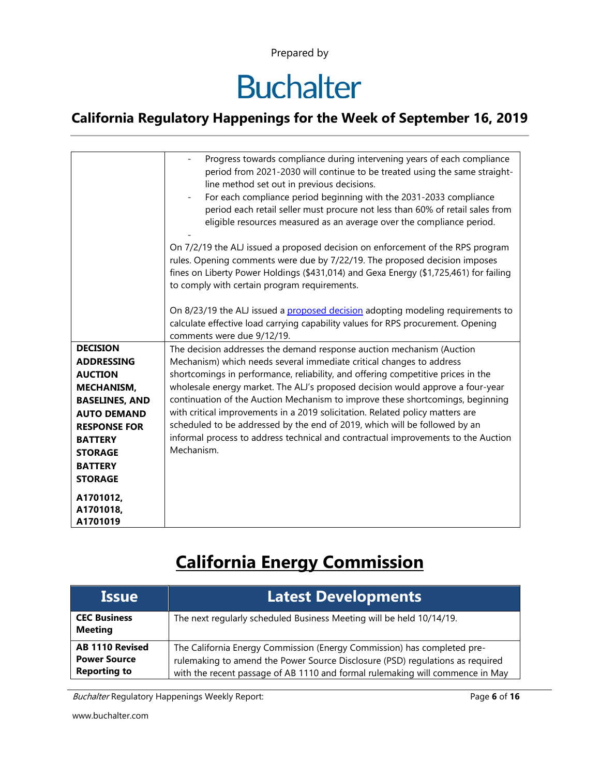# **Buchalter**

#### **California Regulatory Happenings for the Week of September 16, 2019**

|                                                                  | Progress towards compliance during intervening years of each compliance<br>period from 2021-2030 will continue to be treated using the same straight-<br>line method set out in previous decisions.<br>For each compliance period beginning with the 2031-2033 compliance<br>period each retail seller must procure not less than 60% of retail sales from<br>eligible resources measured as an average over the compliance period. |
|------------------------------------------------------------------|-------------------------------------------------------------------------------------------------------------------------------------------------------------------------------------------------------------------------------------------------------------------------------------------------------------------------------------------------------------------------------------------------------------------------------------|
|                                                                  | On 7/2/19 the ALJ issued a proposed decision on enforcement of the RPS program<br>rules. Opening comments were due by 7/22/19. The proposed decision imposes<br>fines on Liberty Power Holdings (\$431,014) and Gexa Energy (\$1,725,461) for failing<br>to comply with certain program requirements.                                                                                                                               |
|                                                                  | On 8/23/19 the ALJ issued a proposed decision adopting modeling requirements to<br>calculate effective load carrying capability values for RPS procurement. Opening<br>comments were due 9/12/19.                                                                                                                                                                                                                                   |
| <b>DECISION</b><br><b>ADDRESSING</b><br><b>AUCTION</b>           | The decision addresses the demand response auction mechanism (Auction<br>Mechanism) which needs several immediate critical changes to address<br>shortcomings in performance, reliability, and offering competitive prices in the                                                                                                                                                                                                   |
| <b>MECHANISM.</b><br><b>BASELINES, AND</b><br><b>AUTO DEMAND</b> | wholesale energy market. The ALJ's proposed decision would approve a four-year<br>continuation of the Auction Mechanism to improve these shortcomings, beginning<br>with critical improvements in a 2019 solicitation. Related policy matters are                                                                                                                                                                                   |
| <b>RESPONSE FOR</b><br><b>BATTERY</b><br><b>STORAGE</b>          | scheduled to be addressed by the end of 2019, which will be followed by an<br>informal process to address technical and contractual improvements to the Auction<br>Mechanism.                                                                                                                                                                                                                                                       |
| <b>BATTERY</b><br><b>STORAGE</b>                                 |                                                                                                                                                                                                                                                                                                                                                                                                                                     |
| A1701012,<br>A1701018,<br>A1701019                               |                                                                                                                                                                                                                                                                                                                                                                                                                                     |

### **California Energy Commission**

| <b>Issue</b>                                                         | <b>Latest Developments</b>                                                                                                                                                                                                                |
|----------------------------------------------------------------------|-------------------------------------------------------------------------------------------------------------------------------------------------------------------------------------------------------------------------------------------|
| <b>CEC Business</b><br><b>Meeting</b>                                | The next regularly scheduled Business Meeting will be held 10/14/19.                                                                                                                                                                      |
| <b>AB 1110 Revised</b><br><b>Power Source</b><br><b>Reporting to</b> | The California Energy Commission (Energy Commission) has completed pre-<br>rulemaking to amend the Power Source Disclosure (PSD) regulations as required<br>with the recent passage of AB 1110 and formal rulemaking will commence in May |

Buchalter Regulatory Happenings Weekly Report: Page 6 of 16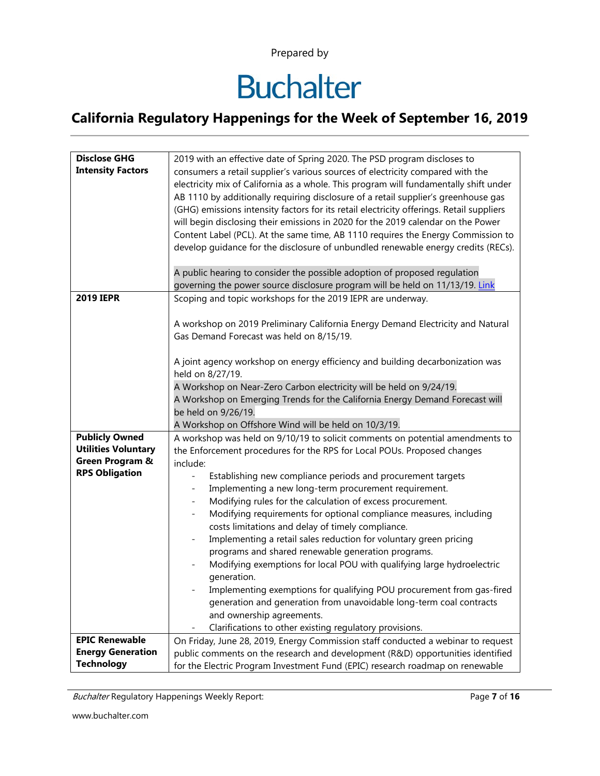# **Buchalter**

### **California Regulatory Happenings for the Week of September 16, 2019**

| <b>Disclose GHG</b>                                 | 2019 with an effective date of Spring 2020. The PSD program discloses to                                            |
|-----------------------------------------------------|---------------------------------------------------------------------------------------------------------------------|
| <b>Intensity Factors</b>                            | consumers a retail supplier's various sources of electricity compared with the                                      |
|                                                     | electricity mix of California as a whole. This program will fundamentally shift under                               |
|                                                     | AB 1110 by additionally requiring disclosure of a retail supplier's greenhouse gas                                  |
|                                                     | (GHG) emissions intensity factors for its retail electricity offerings. Retail suppliers                            |
|                                                     | will begin disclosing their emissions in 2020 for the 2019 calendar on the Power                                    |
|                                                     | Content Label (PCL). At the same time, AB 1110 requires the Energy Commission to                                    |
|                                                     | develop guidance for the disclosure of unbundled renewable energy credits (RECs).                                   |
|                                                     |                                                                                                                     |
|                                                     | A public hearing to consider the possible adoption of proposed regulation                                           |
|                                                     | governing the power source disclosure program will be held on 11/13/19. Link                                        |
| <b>2019 IEPR</b>                                    | Scoping and topic workshops for the 2019 IEPR are underway.                                                         |
|                                                     |                                                                                                                     |
|                                                     | A workshop on 2019 Preliminary California Energy Demand Electricity and Natural                                     |
|                                                     | Gas Demand Forecast was held on 8/15/19.                                                                            |
|                                                     |                                                                                                                     |
|                                                     | A joint agency workshop on energy efficiency and building decarbonization was                                       |
|                                                     | held on 8/27/19.                                                                                                    |
|                                                     | A Workshop on Near-Zero Carbon electricity will be held on 9/24/19.                                                 |
|                                                     | A Workshop on Emerging Trends for the California Energy Demand Forecast will                                        |
|                                                     | be held on 9/26/19.                                                                                                 |
|                                                     | A Workshop on Offshore Wind will be held on 10/3/19.                                                                |
| <b>Publicly Owned</b><br><b>Utilities Voluntary</b> | A workshop was held on 9/10/19 to solicit comments on potential amendments to                                       |
| Green Program &                                     | the Enforcement procedures for the RPS for Local POUs. Proposed changes                                             |
| <b>RPS Obligation</b>                               | include:                                                                                                            |
|                                                     | Establishing new compliance periods and procurement targets<br>$\overline{\phantom{a}}$                             |
|                                                     | Implementing a new long-term procurement requirement.<br>Modifying rules for the calculation of excess procurement. |
|                                                     | Modifying requirements for optional compliance measures, including                                                  |
|                                                     | costs limitations and delay of timely compliance.                                                                   |
|                                                     | Implementing a retail sales reduction for voluntary green pricing                                                   |
|                                                     | programs and shared renewable generation programs.                                                                  |
|                                                     | Modifying exemptions for local POU with qualifying large hydroelectric                                              |
|                                                     | generation.                                                                                                         |
|                                                     | Implementing exemptions for qualifying POU procurement from gas-fired                                               |
|                                                     | generation and generation from unavoidable long-term coal contracts                                                 |
|                                                     | and ownership agreements.                                                                                           |
|                                                     | Clarifications to other existing regulatory provisions.                                                             |
| <b>EPIC Renewable</b>                               | On Friday, June 28, 2019, Energy Commission staff conducted a webinar to request                                    |
| <b>Energy Generation</b>                            | public comments on the research and development (R&D) opportunities identified                                      |
| <b>Technology</b>                                   | for the Electric Program Investment Fund (EPIC) research roadmap on renewable                                       |

Buchalter Regulatory Happenings Weekly Report: Page 7 of **16**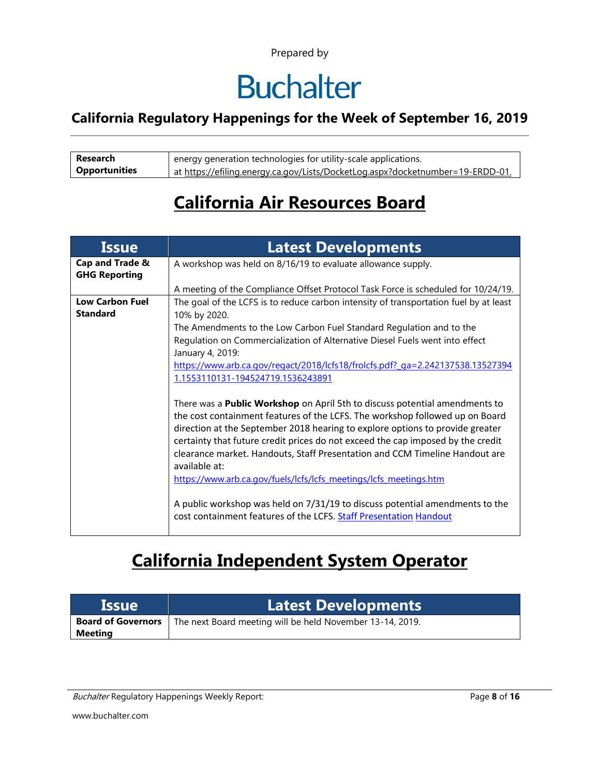## **Buchalter**

#### **California Regulatory Happenings for the Week of September 16, 2019**

| Research             | energy generation technologies for utility-scale applications.                 |
|----------------------|--------------------------------------------------------------------------------|
| <b>Opportunities</b> | at https://efiling.energy.ca.gov/Lists/DocketLog.aspx?docketnumber=19-ERDD-01. |

### **California Air Resources Board**

| <b>Issue</b>                              | <b>Latest Developments</b>                                                                                                                                                                                                                                                                                                                                                                                                             |
|-------------------------------------------|----------------------------------------------------------------------------------------------------------------------------------------------------------------------------------------------------------------------------------------------------------------------------------------------------------------------------------------------------------------------------------------------------------------------------------------|
| Cap and Trade &<br><b>GHG Reporting</b>   | A workshop was held on 8/16/19 to evaluate allowance supply.                                                                                                                                                                                                                                                                                                                                                                           |
|                                           | A meeting of the Compliance Offset Protocol Task Force is scheduled for 10/24/19.                                                                                                                                                                                                                                                                                                                                                      |
| <b>Low Carbon Fuel</b><br><b>Standard</b> | The goal of the LCFS is to reduce carbon intensity of transportation fuel by at least<br>10% by 2020.<br>The Amendments to the Low Carbon Fuel Standard Regulation and to the                                                                                                                                                                                                                                                          |
|                                           | Regulation on Commercialization of Alternative Diesel Fuels went into effect<br>January 4, 2019:                                                                                                                                                                                                                                                                                                                                       |
|                                           | https://www.arb.ca.gov/regact/2018/lcfs18/frolcfs.pdf? ga=2.242137538.13527394<br>1.1553110131-194524719.1536243891                                                                                                                                                                                                                                                                                                                    |
|                                           | There was a <b>Public Workshop</b> on April 5th to discuss potential amendments to<br>the cost containment features of the LCFS. The workshop followed up on Board<br>direction at the September 2018 hearing to explore options to provide greater<br>certainty that future credit prices do not exceed the cap imposed by the credit<br>clearance market. Handouts, Staff Presentation and CCM Timeline Handout are<br>available at: |
|                                           | https://www.arb.ca.gov/fuels/lcfs/lcfs meetings/lcfs meetings.htm<br>A public workshop was held on 7/31/19 to discuss potential amendments to the<br>cost containment features of the LCFS. Staff Presentation Handout                                                                                                                                                                                                                 |

### **California Independent System Operator**

| <b>Issue</b>                         | Latest Developments                                       |
|--------------------------------------|-----------------------------------------------------------|
| <b>Board of Governors</b><br>Meeting | The next Board meeting will be held November 13-14, 2019. |

Buchalter Regulatory Happenings Weekly Report: **Page 8 of 16** and *Page 8* of 16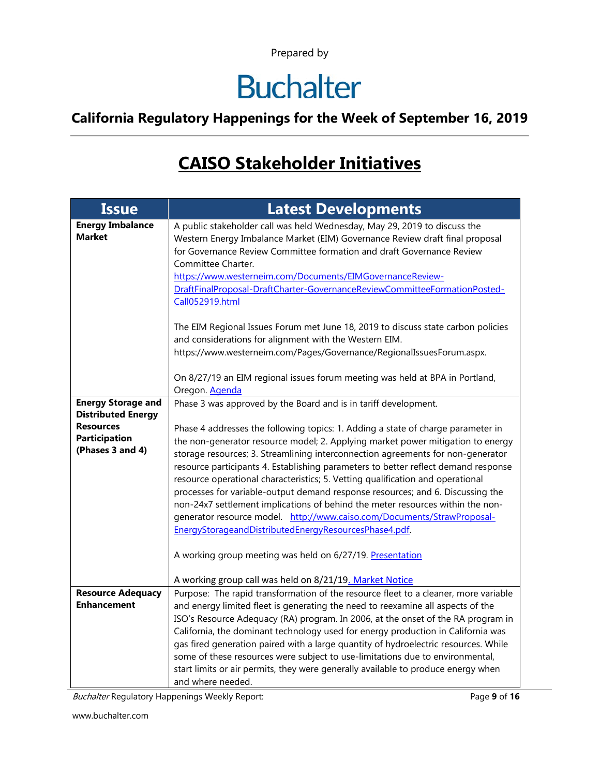# **Buchalter**

### **California Regulatory Happenings for the Week of September 16, 2019**

### **CAISO Stakeholder Initiatives**

| <b>Issue</b>                                                                                                           | <b>Latest Developments</b>                                                                                                                                                                                                                                                                                                                                                                                                                                                                                                                                                                                                                                                                                                                                                                                                                                                                                                        |
|------------------------------------------------------------------------------------------------------------------------|-----------------------------------------------------------------------------------------------------------------------------------------------------------------------------------------------------------------------------------------------------------------------------------------------------------------------------------------------------------------------------------------------------------------------------------------------------------------------------------------------------------------------------------------------------------------------------------------------------------------------------------------------------------------------------------------------------------------------------------------------------------------------------------------------------------------------------------------------------------------------------------------------------------------------------------|
| <b>Energy Imbalance</b><br><b>Market</b>                                                                               | A public stakeholder call was held Wednesday, May 29, 2019 to discuss the<br>Western Energy Imbalance Market (EIM) Governance Review draft final proposal<br>for Governance Review Committee formation and draft Governance Review<br>Committee Charter.<br>https://www.westerneim.com/Documents/EIMGovernanceReview-<br>DraftFinalProposal-DraftCharter-GovernanceReviewCommitteeFormationPosted-<br>Call052919.html                                                                                                                                                                                                                                                                                                                                                                                                                                                                                                             |
|                                                                                                                        | The EIM Regional Issues Forum met June 18, 2019 to discuss state carbon policies<br>and considerations for alignment with the Western EIM.<br>https://www.westerneim.com/Pages/Governance/RegionalIssuesForum.aspx.                                                                                                                                                                                                                                                                                                                                                                                                                                                                                                                                                                                                                                                                                                               |
|                                                                                                                        | On 8/27/19 an EIM regional issues forum meeting was held at BPA in Portland,<br>Oregon. Agenda                                                                                                                                                                                                                                                                                                                                                                                                                                                                                                                                                                                                                                                                                                                                                                                                                                    |
| <b>Energy Storage and</b><br><b>Distributed Energy</b><br><b>Resources</b><br><b>Participation</b><br>(Phases 3 and 4) | Phase 3 was approved by the Board and is in tariff development.<br>Phase 4 addresses the following topics: 1. Adding a state of charge parameter in<br>the non-generator resource model; 2. Applying market power mitigation to energy<br>storage resources; 3. Streamlining interconnection agreements for non-generator<br>resource participants 4. Establishing parameters to better reflect demand response<br>resource operational characteristics; 5. Vetting qualification and operational<br>processes for variable-output demand response resources; and 6. Discussing the<br>non-24x7 settlement implications of behind the meter resources within the non-<br>generator resource model. http://www.caiso.com/Documents/StrawProposal-<br>EnergyStorageandDistributedEnergyResourcesPhase4.pdf.<br>A working group meeting was held on 6/27/19. Presentation<br>A working group call was held on 8/21/19. Market Notice |
| <b>Resource Adequacy</b><br><b>Enhancement</b>                                                                         | Purpose: The rapid transformation of the resource fleet to a cleaner, more variable<br>and energy limited fleet is generating the need to reexamine all aspects of the<br>ISO's Resource Adequacy (RA) program. In 2006, at the onset of the RA program in<br>California, the dominant technology used for energy production in California was<br>gas fired generation paired with a large quantity of hydroelectric resources. While<br>some of these resources were subject to use-limitations due to environmental,<br>start limits or air permits, they were generally available to produce energy when<br>and where needed.                                                                                                                                                                                                                                                                                                  |

Buchalter Regulatory Happenings Weekly Report: Page 9 of 16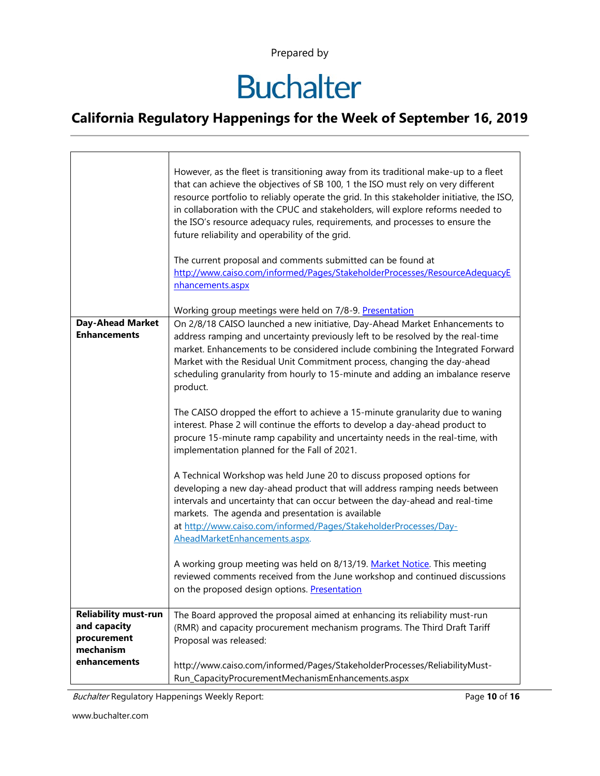# **Buchalter**

### **California Regulatory Happenings for the Week of September 16, 2019**

|                                                | However, as the fleet is transitioning away from its traditional make-up to a fleet<br>that can achieve the objectives of SB 100, 1 the ISO must rely on very different<br>resource portfolio to reliably operate the grid. In this stakeholder initiative, the ISO,<br>in collaboration with the CPUC and stakeholders, will explore reforms needed to<br>the ISO's resource adequacy rules, requirements, and processes to ensure the<br>future reliability and operability of the grid.<br>The current proposal and comments submitted can be found at<br>http://www.caiso.com/informed/Pages/StakeholderProcesses/ResourceAdequacyE<br>nhancements.aspx |  |  |  |  |  |
|------------------------------------------------|-------------------------------------------------------------------------------------------------------------------------------------------------------------------------------------------------------------------------------------------------------------------------------------------------------------------------------------------------------------------------------------------------------------------------------------------------------------------------------------------------------------------------------------------------------------------------------------------------------------------------------------------------------------|--|--|--|--|--|
|                                                |                                                                                                                                                                                                                                                                                                                                                                                                                                                                                                                                                                                                                                                             |  |  |  |  |  |
|                                                | Working group meetings were held on 7/8-9. Presentation                                                                                                                                                                                                                                                                                                                                                                                                                                                                                                                                                                                                     |  |  |  |  |  |
| <b>Day-Ahead Market</b><br><b>Enhancements</b> | On 2/8/18 CAISO launched a new initiative, Day-Ahead Market Enhancements to<br>address ramping and uncertainty previously left to be resolved by the real-time<br>market. Enhancements to be considered include combining the Integrated Forward<br>Market with the Residual Unit Commitment process, changing the day-ahead<br>scheduling granularity from hourly to 15-minute and adding an imbalance reserve<br>product.                                                                                                                                                                                                                                 |  |  |  |  |  |
|                                                | The CAISO dropped the effort to achieve a 15-minute granularity due to waning<br>interest. Phase 2 will continue the efforts to develop a day-ahead product to<br>procure 15-minute ramp capability and uncertainty needs in the real-time, with<br>implementation planned for the Fall of 2021.                                                                                                                                                                                                                                                                                                                                                            |  |  |  |  |  |
|                                                | A Technical Workshop was held June 20 to discuss proposed options for<br>developing a new day-ahead product that will address ramping needs between<br>intervals and uncertainty that can occur between the day-ahead and real-time<br>markets. The agenda and presentation is available<br>at http://www.caiso.com/informed/Pages/StakeholderProcesses/Day-<br>AheadMarketEnhancements.aspx.                                                                                                                                                                                                                                                               |  |  |  |  |  |
|                                                | A working group meeting was held on 8/13/19. Market Notice. This meeting<br>reviewed comments received from the June workshop and continued discussions<br>on the proposed design options. Presentation                                                                                                                                                                                                                                                                                                                                                                                                                                                     |  |  |  |  |  |
| <b>Reliability must-run</b><br>and capacity    | The Board approved the proposal aimed at enhancing its reliability must-run<br>(RMR) and capacity procurement mechanism programs. The Third Draft Tariff                                                                                                                                                                                                                                                                                                                                                                                                                                                                                                    |  |  |  |  |  |
| procurement                                    | Proposal was released:                                                                                                                                                                                                                                                                                                                                                                                                                                                                                                                                                                                                                                      |  |  |  |  |  |
| mechanism<br>enhancements                      | http://www.caiso.com/informed/Pages/StakeholderProcesses/ReliabilityMust-                                                                                                                                                                                                                                                                                                                                                                                                                                                                                                                                                                                   |  |  |  |  |  |
|                                                | Run_CapacityProcurementMechanismEnhancements.aspx                                                                                                                                                                                                                                                                                                                                                                                                                                                                                                                                                                                                           |  |  |  |  |  |

Buchalter Regulatory Happenings Weekly Report: Page **10** of **16**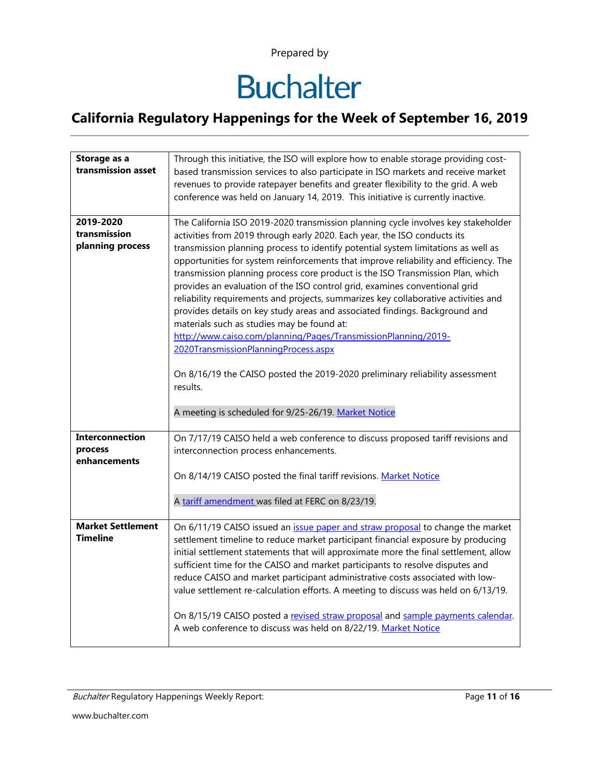# **Buchalter**

| Storage as a<br>transmission asset                | Through this initiative, the ISO will explore how to enable storage providing cost-<br>based transmission services to also participate in ISO markets and receive market<br>revenues to provide ratepayer benefits and greater flexibility to the grid. A web<br>conference was held on January 14, 2019. This initiative is currently inactive.                                                                                                                                                                                                                                                                                                                                                                                                                                                                                                                                                                                    |  |  |  |  |  |  |
|---------------------------------------------------|-------------------------------------------------------------------------------------------------------------------------------------------------------------------------------------------------------------------------------------------------------------------------------------------------------------------------------------------------------------------------------------------------------------------------------------------------------------------------------------------------------------------------------------------------------------------------------------------------------------------------------------------------------------------------------------------------------------------------------------------------------------------------------------------------------------------------------------------------------------------------------------------------------------------------------------|--|--|--|--|--|--|
| 2019-2020<br>transmission<br>planning process     | The California ISO 2019-2020 transmission planning cycle involves key stakeholder<br>activities from 2019 through early 2020. Each year, the ISO conducts its<br>transmission planning process to identify potential system limitations as well as<br>opportunities for system reinforcements that improve reliability and efficiency. The<br>transmission planning process core product is the ISO Transmission Plan, which<br>provides an evaluation of the ISO control grid, examines conventional grid<br>reliability requirements and projects, summarizes key collaborative activities and<br>provides details on key study areas and associated findings. Background and<br>materials such as studies may be found at:<br>http://www.caiso.com/planning/Pages/TransmissionPlanning/2019-<br>2020TransmissionPlanningProcess.aspx<br>On 8/16/19 the CAISO posted the 2019-2020 preliminary reliability assessment<br>results. |  |  |  |  |  |  |
|                                                   | A meeting is scheduled for 9/25-26/19. Market Notice                                                                                                                                                                                                                                                                                                                                                                                                                                                                                                                                                                                                                                                                                                                                                                                                                                                                                |  |  |  |  |  |  |
| <b>Interconnection</b><br>process<br>enhancements | On 7/17/19 CAISO held a web conference to discuss proposed tariff revisions and<br>interconnection process enhancements.                                                                                                                                                                                                                                                                                                                                                                                                                                                                                                                                                                                                                                                                                                                                                                                                            |  |  |  |  |  |  |
|                                                   | On 8/14/19 CAISO posted the final tariff revisions. Market Notice                                                                                                                                                                                                                                                                                                                                                                                                                                                                                                                                                                                                                                                                                                                                                                                                                                                                   |  |  |  |  |  |  |
|                                                   | A tariff amendment was filed at FERC on 8/23/19.                                                                                                                                                                                                                                                                                                                                                                                                                                                                                                                                                                                                                                                                                                                                                                                                                                                                                    |  |  |  |  |  |  |
| <b>Market Settlement</b><br><b>Timeline</b>       | On 6/11/19 CAISO issued an <i>issue paper and straw proposal</i> to change the market<br>settlement timeline to reduce market participant financial exposure by producing<br>initial settlement statements that will approximate more the final settlement, allow<br>sufficient time for the CAISO and market participants to resolve disputes and<br>reduce CAISO and market participant administrative costs associated with low-<br>value settlement re-calculation efforts. A meeting to discuss was held on 6/13/19.<br>On 8/15/19 CAISO posted a revised straw proposal and sample payments calendar.<br>A web conference to discuss was held on 8/22/19. Market Notice                                                                                                                                                                                                                                                       |  |  |  |  |  |  |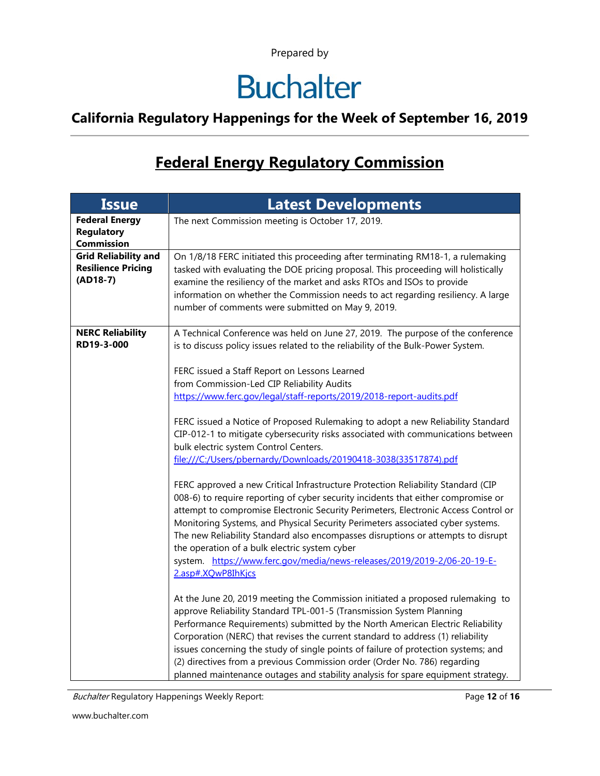## **Buchalter**

### **California Regulatory Happenings for the Week of September 16, 2019**

### **Federal Energy Regulatory Commission**

| <b>Issue</b>                                                           | <b>Latest Developments</b>                                                                                                                                                                                                                                                                                                                                                                                                                                                                                                                                                           |  |  |  |  |
|------------------------------------------------------------------------|--------------------------------------------------------------------------------------------------------------------------------------------------------------------------------------------------------------------------------------------------------------------------------------------------------------------------------------------------------------------------------------------------------------------------------------------------------------------------------------------------------------------------------------------------------------------------------------|--|--|--|--|
| <b>Federal Energy</b><br><b>Regulatory</b><br><b>Commission</b>        | The next Commission meeting is October 17, 2019.                                                                                                                                                                                                                                                                                                                                                                                                                                                                                                                                     |  |  |  |  |
| <b>Grid Reliability and</b><br><b>Resilience Pricing</b><br>$(AD18-7)$ | On 1/8/18 FERC initiated this proceeding after terminating RM18-1, a rulemaking<br>tasked with evaluating the DOE pricing proposal. This proceeding will holistically<br>examine the resiliency of the market and asks RTOs and ISOs to provide<br>information on whether the Commission needs to act regarding resiliency. A large<br>number of comments were submitted on May 9, 2019.                                                                                                                                                                                             |  |  |  |  |
| <b>NERC Reliability</b><br>RD19-3-000                                  | A Technical Conference was held on June 27, 2019. The purpose of the conference<br>is to discuss policy issues related to the reliability of the Bulk-Power System.                                                                                                                                                                                                                                                                                                                                                                                                                  |  |  |  |  |
|                                                                        | FERC issued a Staff Report on Lessons Learned<br>from Commission-Led CIP Reliability Audits<br>https://www.ferc.gov/legal/staff-reports/2019/2018-report-audits.pdf                                                                                                                                                                                                                                                                                                                                                                                                                  |  |  |  |  |
|                                                                        | FERC issued a Notice of Proposed Rulemaking to adopt a new Reliability Standard<br>CIP-012-1 to mitigate cybersecurity risks associated with communications between<br>bulk electric system Control Centers.<br>file:///C:/Users/pbernardy/Downloads/20190418-3038(33517874).pdf                                                                                                                                                                                                                                                                                                     |  |  |  |  |
|                                                                        | FERC approved a new Critical Infrastructure Protection Reliability Standard (CIP<br>008-6) to require reporting of cyber security incidents that either compromise or<br>attempt to compromise Electronic Security Perimeters, Electronic Access Control or<br>Monitoring Systems, and Physical Security Perimeters associated cyber systems.<br>The new Reliability Standard also encompasses disruptions or attempts to disrupt<br>the operation of a bulk electric system cyber<br>system. https://www.ferc.gov/media/news-releases/2019/2019-2/06-20-19-E-<br>2.asp#.XQwP8IhKjcs |  |  |  |  |
|                                                                        | At the June 20, 2019 meeting the Commission initiated a proposed rulemaking to<br>approve Reliability Standard TPL-001-5 (Transmission System Planning<br>Performance Requirements) submitted by the North American Electric Reliability<br>Corporation (NERC) that revises the current standard to address (1) reliability<br>issues concerning the study of single points of failure of protection systems; and<br>(2) directives from a previous Commission order (Order No. 786) regarding<br>planned maintenance outages and stability analysis for spare equipment strategy.   |  |  |  |  |

Buchalter Regulatory Happenings Weekly Report: Page 12 of 16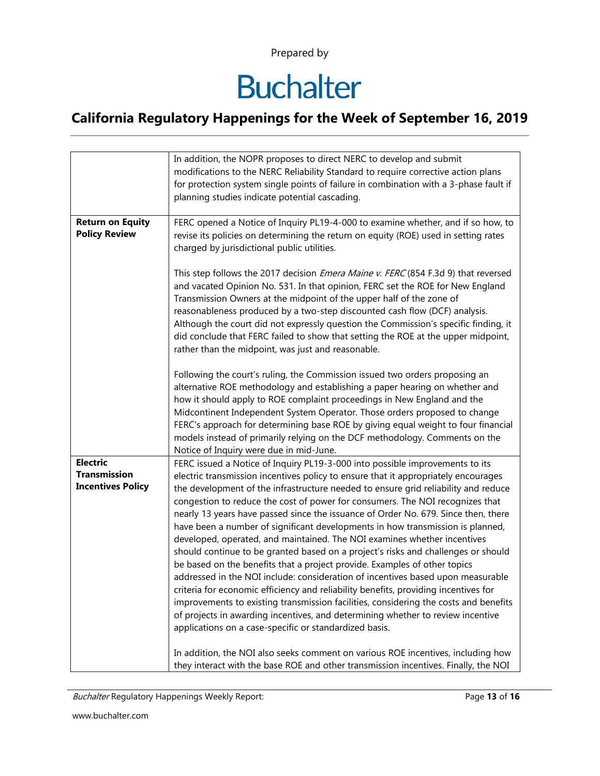# **Buchalter**

|                                                                    | In addition, the NOPR proposes to direct NERC to develop and submit<br>modifications to the NERC Reliability Standard to require corrective action plans<br>for protection system single points of failure in combination with a 3-phase fault if<br>planning studies indicate potential cascading.                                                                                                                                                                                                                                                                                                                                                                                                                                                                                                                                                                                                                                                                                                                                                                                                                                                                            |  |  |  |  |
|--------------------------------------------------------------------|--------------------------------------------------------------------------------------------------------------------------------------------------------------------------------------------------------------------------------------------------------------------------------------------------------------------------------------------------------------------------------------------------------------------------------------------------------------------------------------------------------------------------------------------------------------------------------------------------------------------------------------------------------------------------------------------------------------------------------------------------------------------------------------------------------------------------------------------------------------------------------------------------------------------------------------------------------------------------------------------------------------------------------------------------------------------------------------------------------------------------------------------------------------------------------|--|--|--|--|
| <b>Return on Equity</b><br><b>Policy Review</b>                    | FERC opened a Notice of Inquiry PL19-4-000 to examine whether, and if so how, to<br>revise its policies on determining the return on equity (ROE) used in setting rates<br>charged by jurisdictional public utilities.                                                                                                                                                                                                                                                                                                                                                                                                                                                                                                                                                                                                                                                                                                                                                                                                                                                                                                                                                         |  |  |  |  |
|                                                                    | This step follows the 2017 decision <i>Emera Maine v. FERC</i> (854 F.3d 9) that reversed<br>and vacated Opinion No. 531. In that opinion, FERC set the ROE for New England<br>Transmission Owners at the midpoint of the upper half of the zone of<br>reasonableness produced by a two-step discounted cash flow (DCF) analysis.<br>Although the court did not expressly question the Commission's specific finding, it<br>did conclude that FERC failed to show that setting the ROE at the upper midpoint,<br>rather than the midpoint, was just and reasonable.                                                                                                                                                                                                                                                                                                                                                                                                                                                                                                                                                                                                            |  |  |  |  |
|                                                                    | Following the court's ruling, the Commission issued two orders proposing an<br>alternative ROE methodology and establishing a paper hearing on whether and<br>how it should apply to ROE complaint proceedings in New England and the<br>Midcontinent Independent System Operator. Those orders proposed to change<br>FERC's approach for determining base ROE by giving equal weight to four financial<br>models instead of primarily relying on the DCF methodology. Comments on the<br>Notice of Inquiry were due in mid-June.                                                                                                                                                                                                                                                                                                                                                                                                                                                                                                                                                                                                                                              |  |  |  |  |
| <b>Electric</b><br><b>Transmission</b><br><b>Incentives Policy</b> | FERC issued a Notice of Inquiry PL19-3-000 into possible improvements to its<br>electric transmission incentives policy to ensure that it appropriately encourages<br>the development of the infrastructure needed to ensure grid reliability and reduce<br>congestion to reduce the cost of power for consumers. The NOI recognizes that<br>nearly 13 years have passed since the issuance of Order No. 679. Since then, there<br>have been a number of significant developments in how transmission is planned,<br>developed, operated, and maintained. The NOI examines whether incentives<br>should continue to be granted based on a project's risks and challenges or should<br>be based on the benefits that a project provide. Examples of other topics<br>addressed in the NOI include: consideration of incentives based upon measurable<br>criteria for economic efficiency and reliability benefits, providing incentives for<br>improvements to existing transmission facilities, considering the costs and benefits<br>of projects in awarding incentives, and determining whether to review incentive<br>applications on a case-specific or standardized basis. |  |  |  |  |
|                                                                    | In addition, the NOI also seeks comment on various ROE incentives, including how<br>they interact with the base ROE and other transmission incentives. Finally, the NOI                                                                                                                                                                                                                                                                                                                                                                                                                                                                                                                                                                                                                                                                                                                                                                                                                                                                                                                                                                                                        |  |  |  |  |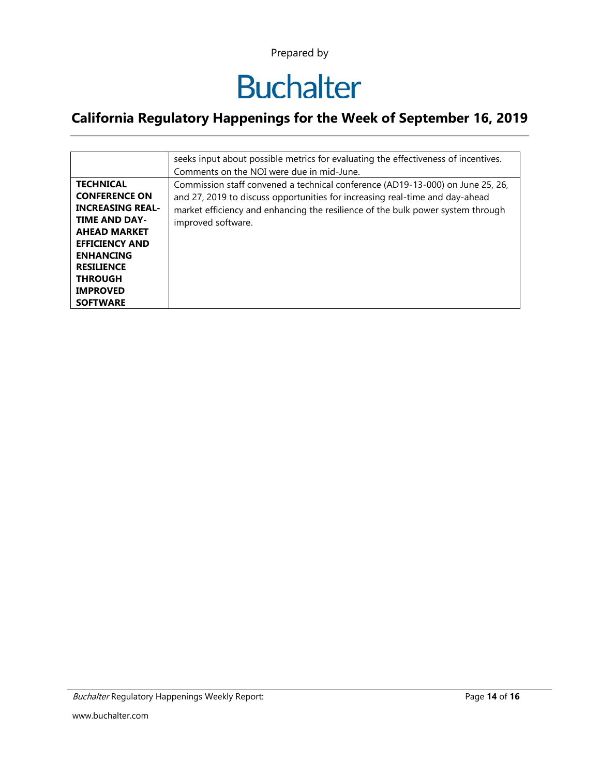## **Buchalter**

|                                                                                                                                                                                                                                              | seeks input about possible metrics for evaluating the effectiveness of incentives.<br>Comments on the NOI were due in mid-June.                                                                                                                                         |  |  |  |  |  |
|----------------------------------------------------------------------------------------------------------------------------------------------------------------------------------------------------------------------------------------------|-------------------------------------------------------------------------------------------------------------------------------------------------------------------------------------------------------------------------------------------------------------------------|--|--|--|--|--|
| <b>TECHNICAL</b><br><b>CONFERENCE ON</b><br><b>INCREASING REAL-</b><br><b>TIME AND DAY-</b><br><b>AHEAD MARKET</b><br><b>EFFICIENCY AND</b><br><b>ENHANCING</b><br><b>RESILIENCE</b><br><b>THROUGH</b><br><b>IMPROVED</b><br><b>SOFTWARE</b> | Commission staff convened a technical conference (AD19-13-000) on June 25, 26,<br>and 27, 2019 to discuss opportunities for increasing real-time and day-ahead<br>market efficiency and enhancing the resilience of the bulk power system through<br>improved software. |  |  |  |  |  |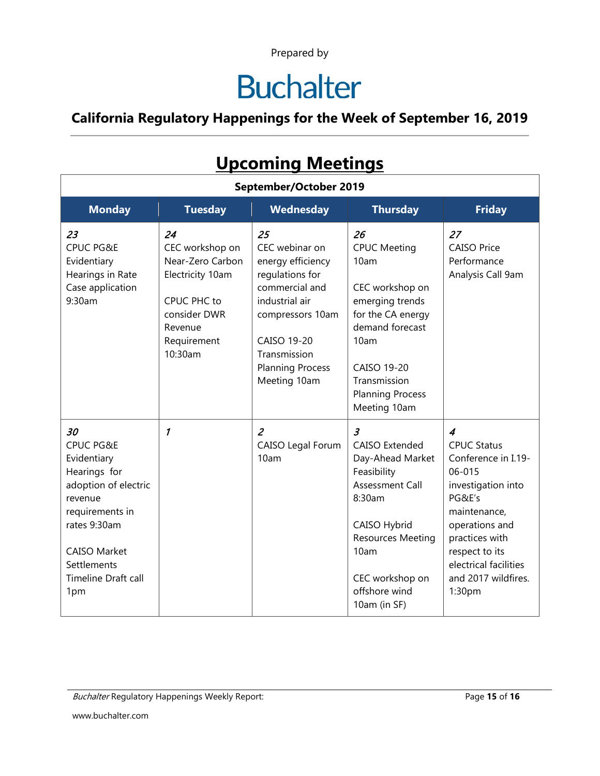# **Buchalter**

### **California Regulatory Happenings for the Week of September 16, 2019**

| <u>Upcoming Meetings</u>                                                                                                                                                                                   |                                                                                                                                   |                                                                                                                                                                                                       |                                                                                                                                                                                                                        |                                                                                                                                                                                                                                       |  |  |  |  |
|------------------------------------------------------------------------------------------------------------------------------------------------------------------------------------------------------------|-----------------------------------------------------------------------------------------------------------------------------------|-------------------------------------------------------------------------------------------------------------------------------------------------------------------------------------------------------|------------------------------------------------------------------------------------------------------------------------------------------------------------------------------------------------------------------------|---------------------------------------------------------------------------------------------------------------------------------------------------------------------------------------------------------------------------------------|--|--|--|--|
| September/October 2019                                                                                                                                                                                     |                                                                                                                                   |                                                                                                                                                                                                       |                                                                                                                                                                                                                        |                                                                                                                                                                                                                                       |  |  |  |  |
| <b>Monday</b>                                                                                                                                                                                              | <b>Tuesday</b>                                                                                                                    | Wednesday                                                                                                                                                                                             | <b>Thursday</b>                                                                                                                                                                                                        | <b>Friday</b>                                                                                                                                                                                                                         |  |  |  |  |
| 23<br><b>CPUC PG&amp;E</b><br>Evidentiary<br>Hearings in Rate<br>Case application<br>9:30am                                                                                                                | 24<br>CEC workshop on<br>Near-Zero Carbon<br>Electricity 10am<br>CPUC PHC to<br>consider DWR<br>Revenue<br>Requirement<br>10:30am | 25<br>CEC webinar on<br>energy efficiency<br>regulations for<br>commercial and<br>industrial air<br>compressors 10am<br><b>CAISO 19-20</b><br>Transmission<br><b>Planning Process</b><br>Meeting 10am | 26<br><b>CPUC Meeting</b><br>10am<br>CEC workshop on<br>emerging trends<br>for the CA energy<br>demand forecast<br>10am<br>CAISO 19-20<br>Transmission<br><b>Planning Process</b><br>Meeting 10am                      | 27<br><b>CAISO Price</b><br>Performance<br>Analysis Call 9am                                                                                                                                                                          |  |  |  |  |
| 30<br><b>CPUC PG&amp;E</b><br>Evidentiary<br>Hearings for<br>adoption of electric<br>revenue<br>requirements in<br>rates 9:30am<br><b>CAISO Market</b><br>Settlements<br><b>Timeline Draft call</b><br>1pm | 1                                                                                                                                 | $\overline{a}$<br>CAISO Legal Forum<br>10am                                                                                                                                                           | $\mathfrak{Z}$<br><b>CAISO Extended</b><br>Day-Ahead Market<br>Feasibility<br><b>Assessment Call</b><br>8:30am<br>CAISO Hybrid<br><b>Resources Meeting</b><br>10am<br>CEC workshop on<br>offshore wind<br>10am (in SF) | $\overline{4}$<br><b>CPUC Status</b><br>Conference in I.19-<br>06-015<br>investigation into<br>PG&E's<br>maintenance,<br>operations and<br>practices with<br>respect to its<br>electrical facilities<br>and 2017 wildfires.<br>1:30pm |  |  |  |  |

### **Upcoming Meetings**